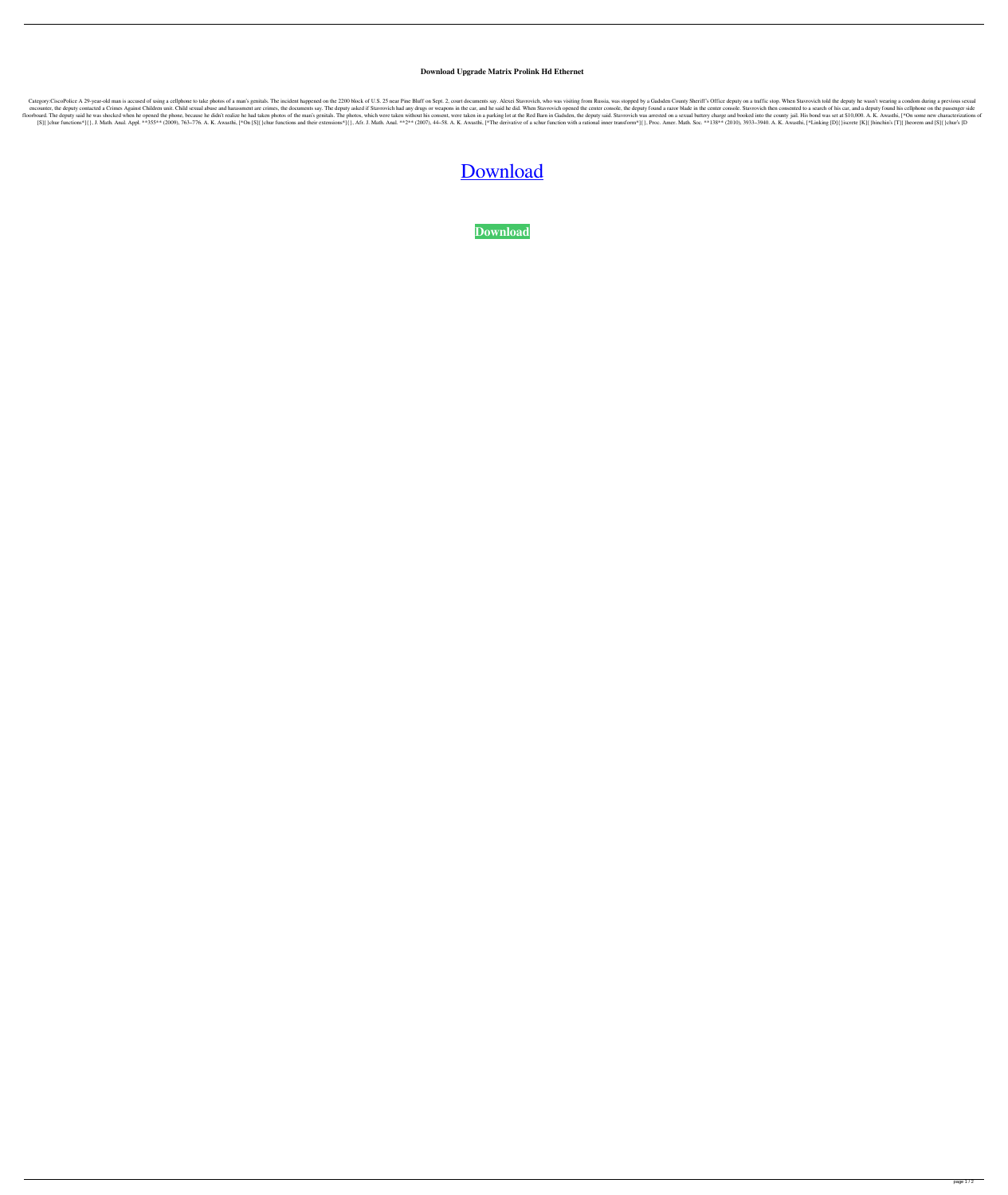## **Download Upgrade Matrix Prolink Hd Ethernet**

Category:CiscoPolice A 29-year-old man is accused of using a cellphone to take photos of a man's genitals. The incident happened on the 2200 block of U.S. 25 near Pine Bluff on Sept. 2, court documents say. Alexei Stavrovi encounter, the deputy contacted a Crimes Against Children unit. Child sexual abuse and harassment are crimes, the documents say. The deputy asked if Stavrovich had any drugs or weapons in the car, and he said he did. When floorboard. The deputy said he was shocked when he opened the phone, because he didn't realize he had taken photos of the man's genitals. The photos, which were taken without his consent, were taken in a parking lot at the [S] {}chur functions\*] {}, J. Math. Anal. Appl. \*\*355\*\* (2009), 763-776. A. K. Awasthi, [\*On [S] {}chur functions and their extensions\*] {}, Afr. J. Math. Anal. \*\*2\*\* (2007), 44-58. A. K. Awasthi, [\*The derivative of a sch

## [Download](http://evacdir.com/constrain?/crossdocking/swung/greaser/ZG93bmxvYWR8eG0wY0hoMGZId3hOalV5TnpRd09EWTJmSHd5TlRjMGZId29UU2tnY21WaFpDMWliRzluSUZ0R1lYTjBJRWRGVGww&nite=cyndinar&ZG93bmxvYWQgdXBncmFkZSBtYXRyaXggcHJvbGluayBoZCBldGhlcm5ldAZG9)

**[Download](http://evacdir.com/constrain?/crossdocking/swung/greaser/ZG93bmxvYWR8eG0wY0hoMGZId3hOalV5TnpRd09EWTJmSHd5TlRjMGZId29UU2tnY21WaFpDMWliRzluSUZ0R1lYTjBJRWRGVGww&nite=cyndinar&ZG93bmxvYWQgdXBncmFkZSBtYXRyaXggcHJvbGluayBoZCBldGhlcm5ldAZG9)**